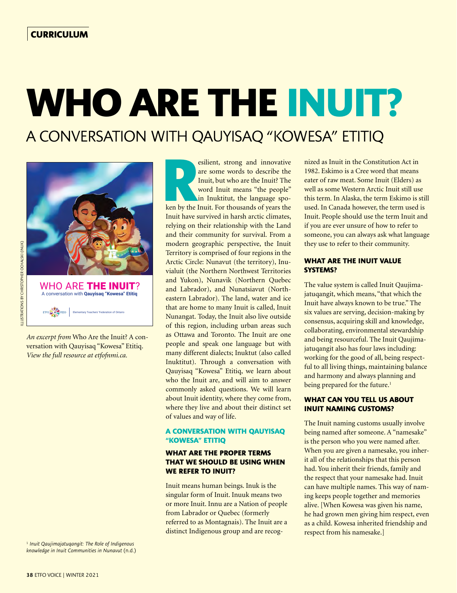# **WHO ARE THE INUIT?**

A CONVERSATION WITH QAUYISAQ "KOWESA" ETITIQ



*An excerpt from* Who Are the Inuit? A conversation with Qauyisaq "Kowesa" Etitiq. *View the full resource at etfofnmi.ca.*

<sup>1</sup> *Inuit Qaujimajatuqangit: The Role of Indigenous knowledge in Inuit Communities in Nunavut* (n.d.) **Resilient, strong and innovative**<br>
are some words to describe the<br>
Inuit, but who are the Inuit? The<br>
word Inuit means "the people"<br>
in Inuktitut, the language spo-<br>
ken by the Inuit. For thousands of years the are some words to describe the Inuit, but who are the Inuit? The word Inuit means "the people" in Inuktitut, the language spo-Inuit have survived in harsh arctic climates, relying on their relationship with the Land and their community for survival. From a modern geographic perspective, the Inuit Territory is comprised of four regions in the Arctic Circle: Nunavut (the territory), Inuvialuit (the Northern Northwest Territories and Yukon), Nunavik (Northern Quebec and Labrador), and Nunatsiavut (Northeastern Labrador). The land, water and ice that are home to many Inuit is called, Inuit Nunangat. Today, the Inuit also live outside of this region, including urban areas such as Ottawa and Toronto. The Inuit are one people and speak one language but with many different dialects; Inuktut (also called Inuktitut). Through a conversation with Qauyisaq "Kowesa" Etitiq, we learn about who the Inuit are, and will aim to answer commonly asked questions. We will learn about Inuit identity, where they come from, where they live and about their distinct set of values and way of life.

#### **A CONVERSATION WITH QAUYISAQ "KOWESA" ETITIQ**

# **WHAT ARE THE PROPER TERMS THAT WE SHOULD BE USING WHEN WE REFER TO INUIT?**

Inuit means human beings. Inuk is the singular form of Inuit. Inuuk means two or more Inuit. Innu are a Nation of people from Labrador or Quebec (formerly referred to as Montagnais). The Inuit are a distinct Indigenous group and are recognized as Inuit in the Constitution Act in 1982. Eskimo is a Cree word that means eater of raw meat. Some Inuit (Elders) as well as some Western Arctic Inuit still use this term. In Alaska, the term Eskimo is still used. In Canada however, the term used is Inuit. People should use the term Inuit and if you are ever unsure of how to refer to someone, you can always ask what language they use to refer to their community.

#### **WHAT ARE THE INUIT VALUE SYSTEMS?**

The value system is called Inuit Qaujimajatuqangit, which means, "that which the Inuit have always known to be true." The six values are serving, decision-making by consensus, acquiring skill and knowledge, collaborating, environmental stewardship and being resourceful. The Inuit Qaujimajatuqangit also has four laws including: working for the good of all, being respectful to all living things, maintaining balance and harmony and always planning and being prepared for the future.<sup>1</sup>

# **WHAT CAN YOU TELL US ABOUT INUIT NAMING CUSTOMS?**

The Inuit naming customs usually involve being named after someone. A "namesake" is the person who you were named after. When you are given a namesake, you inherit all of the relationships that this person had. You inherit their friends, family and the respect that your namesake had. Inuit can have multiple names. This way of naming keeps people together and memories alive. [When Kowesa was given his name, he had grown men giving him respect, even as a child. Kowesa inherited friendship and respect from his namesake.]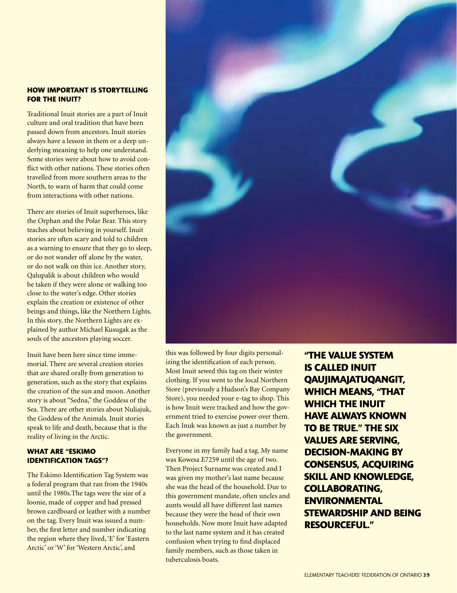### **HOW IMPORTANT IS STORYTELLING FOR THE INUIT?**

Traditional Inuit stories are a part of Inuit culture and oral tradition that have been passed down from ancestors. Inuit stories always have a lesson in them or a deep underlying meaning to help one understand. Some stories were about how to avoid conflict with other nations. These stories often travelled from more southern areas to the North, to warn of harm that could come from interactions with other nations.

There are stories of Inuit superheroes, like the Orphan and the Polar Bear. This story teaches about believing in yourself. Inuit stories are often scary and told to children as a warning to ensure that they go to sleep, or do not wander off alone by the water, or do not walk on thin ice. Another story, Qalupalik is about children who would be taken if they were alone or walking too close to the water's edge. Other stories explain the creation or existence of other beings and things, like the Northern Lights. In this story, the Northern Lights are explained by author Michael Kusugak as the souls of the ancestors playing soccer.

Inuit have been here since time immemorial. There are several creation stories that are shared orally from generation to generation, such as the story that explains the creation of the sun and moon. Another story is about "Sedna," the Goddess of the Sea. There are other stories about Nuliajuk, the Goddess of the Animals. Inuit stories speak to life and death, because that is the reality of living in the Arctic.

# **WHAT ARE "ESKIMO IDENTIFICATION TAGS"?**

The Eskimo Identification Tag System was a federal program that ran from the 1940s until the 1980s.The tags were the size of a loonie, made of copper and had pressed brown cardboard or leather with a number on the tag. Every Inuit was issued a number, the first letter and number indicating the region where they lived, 'E' for 'Eastern Arctic' or 'W' for 'Western Arctic', and



this was followed by four digits personalizing the identification of each person. Most Inuit sewed this tag on their winter clothing. If you went to the local Northern Store (previously a Hudson's Bay Company Store), you needed your e-tag to shop. This is how Inuit were tracked and how the government tried to exercise power over them. Each Inuk was known as just a number by the government.

Everyone in my family had a tag. My name was Kowesa E7259 until the age of two. Then Project Surname was created and I was given my mother's last name because she was the head of the household. Due to this government mandate, often uncles and aunts would all have different last names because they were the head of their own households. Now more Inuit have adapted to the last name system and it has created confusion when trying to find displaced family members, such as those taken in tuberculosis boats.

**"THE VALUE SYSTEM IS CALLED INUIT QAUJIMAJATUQANGIT, WHICH MEANS, "THAT WHICH THE INUIT HAVE ALWAYS KNOWN TO BE TRUE." THE SIX VALUES ARE SERVING, DECISION-MAKING BY CONSENSUS, ACQUIRING SKILL AND KNOWLEDGE, COLLABORATING, ENVIRONMENTAL STEWARDSHIP AND BEING RESOURCEFUL."**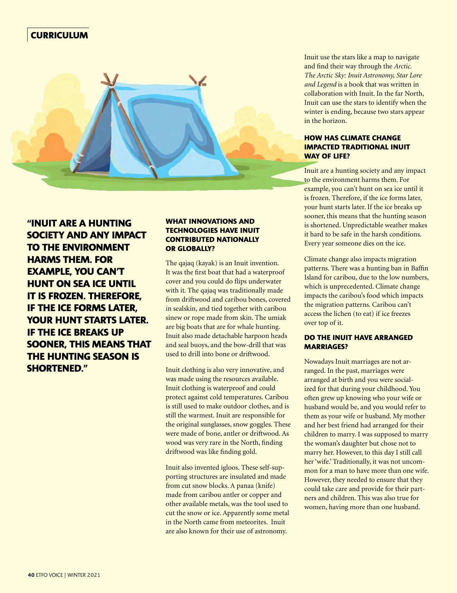# **CURRICULUM**



**"INUIT ARE A HUNTING SOCIETY AND ANY IMPACT TO THE ENVIRONMENT HARMS THEM. FOR EXAMPLE, YOU CAN'T HUNT ON SEA ICE UNTIL IT IS FROZEN. THEREFORE, IF THE ICE FORMS LATER, YOUR HUNT STARTS LATER. IF THE ICE BREAKS UP SOONER, THIS MEANS THAT THE HUNTING SEASON IS SHORTENED."**

#### **WHAT INNOVATIONS AND TECHNOLOGIES HAVE INUIT CONTRIBUTED NATIONALLY OR GLOBALLY?**

The qajaq (kayak) is an Inuit invention. It was the first boat that had a waterproof cover and you could do flips underwater with it. The qajaq was traditionally made from driftwood and caribou bones, covered in sealskin, and tied together with caribou sinew or rope made from skin. The umiak are big boats that are for whale hunting. Inuit also made detachable harpoon heads and seal buoys, and the bow-drill that was used to drill into bone or driftwood.

Inuit clothing is also very innovative, and was made using the resources available. Inuit clothing is waterproof and could protect against cold temperatures. Caribou is still used to make outdoor clothes, and is still the warmest. Inuit are responsible for the original sunglasses, snow goggles. These were made of bone, antler or driftwood. As wood was very rare in the North, finding driftwood was like finding gold.

Inuit also invented igloos. These self-supporting structures are insulated and made from cut snow blocks. A panaa (knife) made from caribou antler or copper and other available metals, was the tool used to cut the snow or ice. Apparently some metal in the North came from meteorites. Inuit are also known for their use of astronomy.

Inuit use the stars like a map to navigate and find their way through the *Arctic. The Arctic Sky: Inuit Astronomy, Star Lore and Legend* is a book that was written in collaboration with Inuit. In the far North, Inuit can use the stars to identify when the winter is ending, because two stars appear in the horizon.

## **HOW HAS CLIMATE CHANGE IMPACTED TRADITIONAL INUIT WAY OF LIFE?**

Inuit are a hunting society and any impact to the environment harms them. For example, you can't hunt on sea ice until it is frozen. Therefore, if the ice forms later, your hunt starts later. If the ice breaks up sooner, this means that the hunting season is shortened. Unpredictable weather makes it hard to be safe in the harsh conditions. Every year someone dies on the ice.

Climate change also impacts migration patterns. There was a hunting ban in Baffin Island for caribou, due to the low numbers, which is unprecedented. Climate change impacts the caribou's food which impacts the migration patterns. Caribou can't access the lichen (to eat) if ice freezes over top of it.

#### **DO THE INUIT HAVE ARRANGED MARRIAGES?**

Nowadays Inuit marriages are not arranged. In the past, marriages were arranged at birth and you were socialized for that during your childhood. You often grew up knowing who your wife or husband would be, and you would refer to them as your wife or husband. My mother and her best friend had arranged for their children to marry. I was supposed to marry the woman's daughter but chose not to marry her. However, to this day I still call her 'wife.' Traditionally, it was not uncommon for a man to have more than one wife. However, they needed to ensure that they could take care and provide for their partners and children. This was also true for women, having more than one husband.